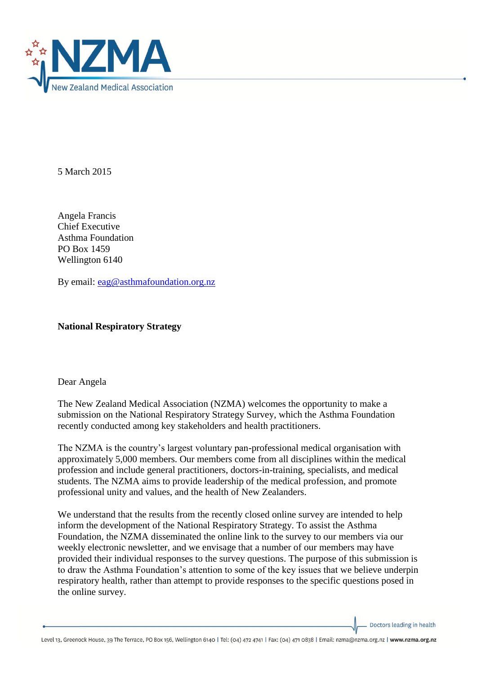

5 March 2015

Angela Francis Chief Executive Asthma Foundation PO Box 1459 Wellington 6140

By email: [eag@asthmafoundation.org.nz](mailto:eag@asthmafoundation.org.nz)

**National Respiratory Strategy**

Dear Angela

The New Zealand Medical Association (NZMA) welcomes the opportunity to make a submission on the National Respiratory Strategy Survey, which the Asthma Foundation recently conducted among key stakeholders and health practitioners.

The NZMA is the country's largest voluntary pan-professional medical organisation with approximately 5,000 members. Our members come from all disciplines within the medical profession and include general practitioners, doctors-in-training, specialists, and medical students. The NZMA aims to provide leadership of the medical profession, and promote professional unity and values, and the health of New Zealanders.

We understand that the results from the recently closed online survey are intended to help inform the development of the National Respiratory Strategy. To assist the Asthma Foundation, the NZMA disseminated the online link to the survey to our members via our weekly electronic newsletter, and we envisage that a number of our members may have provided their individual responses to the survey questions. The purpose of this submission is to draw the Asthma Foundation's attention to some of the key issues that we believe underpin respiratory health, rather than attempt to provide responses to the specific questions posed in the online survey.

Doctors leading in health